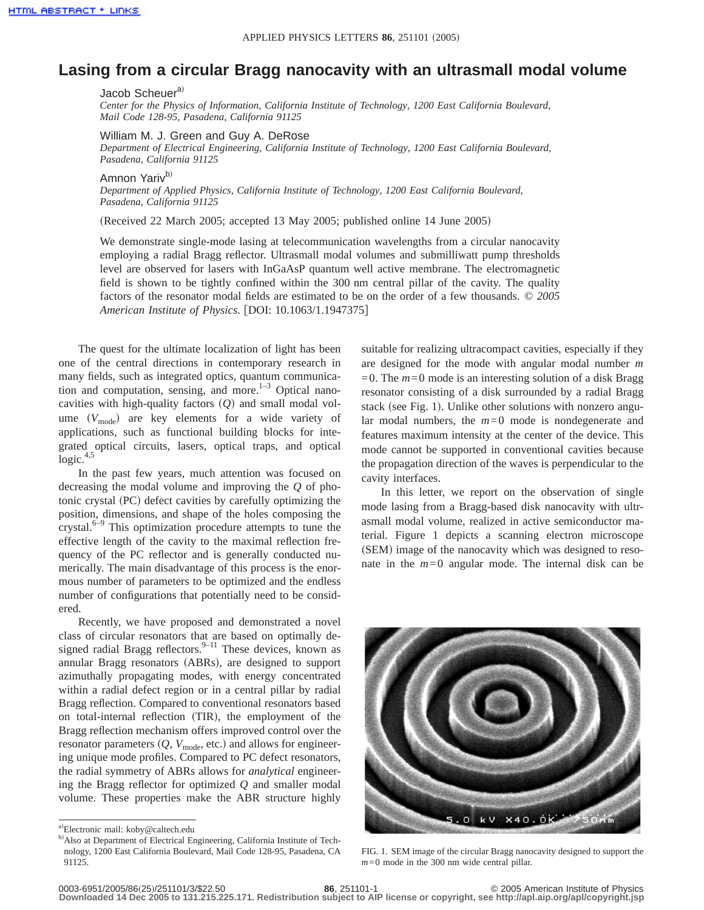## **Lasing from a circular Bragg nanocavity with an ultrasmall modal volume**

Jacob Scheuer<sup>a)</sup>

*Center for the Physics of Information, California Institute of Technology, 1200 East California Boulevard, Mail Code 128-95, Pasadena, California 91125*

William M. J. Green and Guy A. DeRose

*Department of Electrical Engineering, California Institute of Technology, 1200 East California Boulevard, Pasadena, California 91125*

Amnon Yarivb)

*Department of Applied Physics, California Institute of Technology, 1200 East California Boulevard, Pasadena, California 91125*

(Received 22 March 2005; accepted 13 May 2005; published online 14 June 2005)

We demonstrate single-mode lasing at telecommunication wavelengths from a circular nanocavity employing a radial Bragg reflector. Ultrasmall modal volumes and submilliwatt pump thresholds level are observed for lasers with InGaAsP quantum well active membrane. The electromagnetic field is shown to be tightly confined within the 300 nm central pillar of the cavity. The quality factors of the resonator modal fields are estimated to be on the order of a few thousands. © *2005 American Institute of Physics.* [DOI: 10.1063/1.1947375]

The quest for the ultimate localization of light has been one of the central directions in contemporary research in many fields, such as integrated optics, quantum communication and computation, sensing, and more. $1-3$  Optical nanocavities with high-quality factors (Q) and small modal volume  $(V_{\text{mode}})$  are key elements for a wide variety of applications, such as functional building blocks for integrated optical circuits, lasers, optical traps, and optical  $logic.<sup>4,5</sup>$ 

In the past few years, much attention was focused on decreasing the modal volume and improving the *Q* of photonic crystal (PC) defect cavities by carefully optimizing the position, dimensions, and shape of the holes composing the crystal.<sup>6–9</sup> This optimization procedure attempts to tune the effective length of the cavity to the maximal reflection frequency of the PC reflector and is generally conducted numerically. The main disadvantage of this process is the enormous number of parameters to be optimized and the endless number of configurations that potentially need to be considered.

Recently, we have proposed and demonstrated a novel class of circular resonators that are based on optimally designed radial Bragg reflectors. $9-11$  These devices, known as annular Bragg resonators (ABRs), are designed to support azimuthally propagating modes, with energy concentrated within a radial defect region or in a central pillar by radial Bragg reflection. Compared to conventional resonators based on total-internal reflection (TIR), the employment of the Bragg reflection mechanism offers improved control over the resonator parameters  $(Q, V_{\text{mode}})$ , etc.) and allows for engineering unique mode profiles. Compared to PC defect resonators, the radial symmetry of ABRs allows for *analytical* engineering the Bragg reflector for optimized *Q* and smaller modal volume. These properties make the ABR structure highly suitable for realizing ultracompact cavities, especially if they are designed for the mode with angular modal number *m*  $=0$ . The  $m=0$  mode is an interesting solution of a disk Bragg resonator consisting of a disk surrounded by a radial Bragg stack (see Fig. 1). Unlike other solutions with nonzero angular modal numbers, the *m*=0 mode is nondegenerate and features maximum intensity at the center of the device. This mode cannot be supported in conventional cavities because the propagation direction of the waves is perpendicular to the cavity interfaces.

In this letter, we report on the observation of single mode lasing from a Bragg-based disk nanocavity with ultrasmall modal volume, realized in active semiconductor material. Figure 1 depicts a scanning electron microscope (SEM) image of the nanocavity which was designed to resonate in the  $m=0$  angular mode. The internal disk can be



FIG. 1. SEM image of the circular Bragg nanocavity designed to support the *m*=0 mode in the 300 nm wide central pillar.

**Downloaded 14 Dec 2005 to 131.215.225.171. Redistribution subject to AIP license or copyright, see http://apl.aip.org/apl/copyright.jsp**

a)Electronic mail: koby@caltech.edu

b) Also at Department of Electrical Engineering, California Institute of Technology, 1200 East California Boulevard, Mail Code 128-95, Pasadena, CA 91125.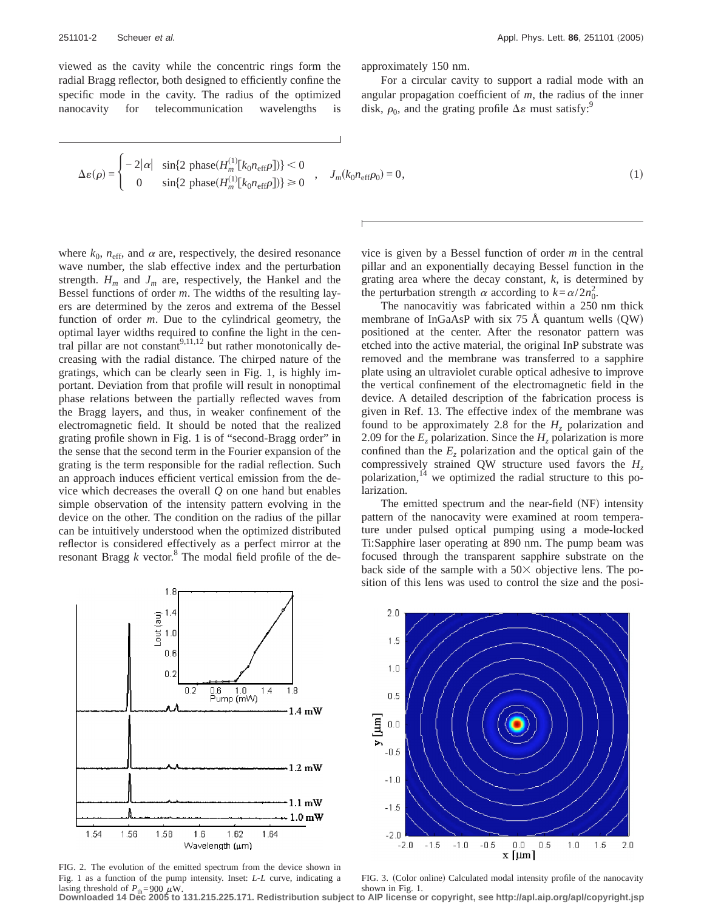viewed as the cavity while the concentric rings form the radial Bragg reflector, both designed to efficiently confine the specific mode in the cavity. The radius of the optimized nanocavity for telecommunication wavelengths is approximately 150 nm.

For a circular cavity to support a radial mode with an angular propagation coefficient of *m*, the radius of the inner disk,  $\rho_0$ , and the grating profile  $\Delta \varepsilon$  must satisfy:<sup>9</sup>

$$
\Delta\varepsilon(\rho) = \begin{cases}\n-2|\alpha| & \sin\{2\text{ phase}(H_m^{(1)}[k_0n_{\text{eff}}\rho])\} < 0 \\
0 & \sin\{2\text{ phase}(H_m^{(1)}[k_0n_{\text{eff}}\rho])\} \ge 0\n\end{cases}, \quad J_m(k_0n_{\text{eff}}\rho_0) = 0,\n\tag{1}
$$

where  $k_0$ ,  $n_{\text{eff}}$ , and  $\alpha$  are, respectively, the desired resonance wave number, the slab effective index and the perturbation strength.  $H_m$  and  $J_m$  are, respectively, the Hankel and the Bessel functions of order *m*. The widths of the resulting layers are determined by the zeros and extrema of the Bessel function of order *m*. Due to the cylindrical geometry, the optimal layer widths required to confine the light in the central pillar are not constant<sup>9,11,12</sup> but rather monotonically decreasing with the radial distance. The chirped nature of the gratings, which can be clearly seen in Fig. 1, is highly important. Deviation from that profile will result in nonoptimal phase relations between the partially reflected waves from the Bragg layers, and thus, in weaker confinement of the electromagnetic field. It should be noted that the realized grating profile shown in Fig. 1 is of "second-Bragg order" in the sense that the second term in the Fourier expansion of the grating is the term responsible for the radial reflection. Such an approach induces efficient vertical emission from the device which decreases the overall *Q* on one hand but enables simple observation of the intensity pattern evolving in the device on the other. The condition on the radius of the pillar can be intuitively understood when the optimized distributed reflector is considered effectively as a perfect mirror at the resonant Bragg  $k$  vector.<sup>8</sup> The modal field profile of the de-

vice is given by a Bessel function of order *m* in the central pillar and an exponentially decaying Bessel function in the grating area where the decay constant, *k*, is determined by the perturbation strength  $\alpha$  according to  $k = \alpha/2n_0^2$ .

The nanocavitiy was fabricated within a 250 nm thick membrane of InGaAsP with six  $75$  Å quantum wells  $(QW)$ positioned at the center. After the resonator pattern was etched into the active material, the original InP substrate was removed and the membrane was transferred to a sapphire plate using an ultraviolet curable optical adhesive to improve the vertical confinement of the electromagnetic field in the device. A detailed description of the fabrication process is given in Ref. 13. The effective index of the membrane was found to be approximately 2.8 for the  $H<sub>z</sub>$  polarization and 2.09 for the  $E_z$  polarization. Since the  $H_z$  polarization is more confined than the  $E<sub>z</sub>$  polarization and the optical gain of the compressively strained QW structure used favors the *Hz* polarization,<sup>14</sup> we optimized the radial structure to this polarization.

The emitted spectrum and the near-field (NF) intensity pattern of the nanocavity were examined at room temperature under pulsed optical pumping using a mode-locked Ti:Sapphire laser operating at 890 nm. The pump beam was focused through the transparent sapphire substrate on the back side of the sample with a  $50\times$  objective lens. The position of this lens was used to control the size and the posi-



FIG. 2. The evolution of the emitted spectrum from the device shown in Fig. 1 as a function of the pump intensity. Inset: *L*-*L* curve, indicating a lasing threshold of  $P_{\text{th}}$ =900  $\mu$ W. **Downloaded 14 Dec 2005 to 131.215.225.171. Redistribution subject to AIP license or copyright, see http://apl.aip.org/apl/copyright.jsp**



FIG. 3. (Color online) Calculated modal intensity profile of the nanocavity shown in Fig. 1.